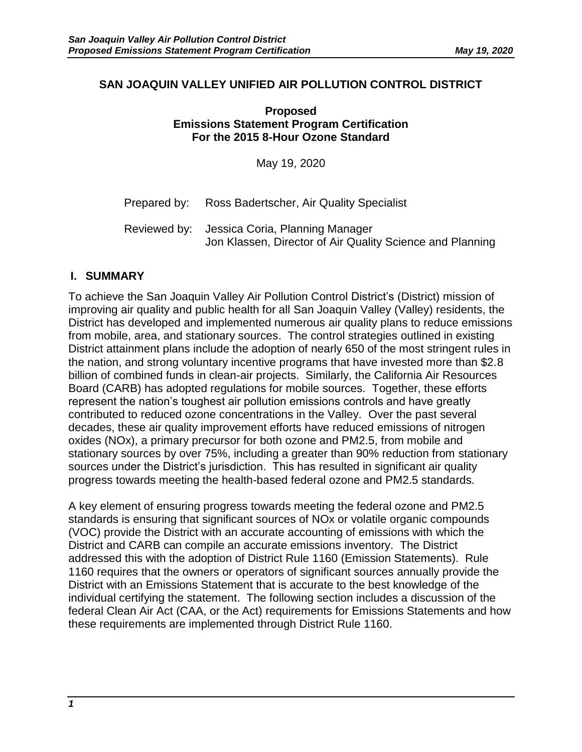#### **SAN JOAQUIN VALLEY UNIFIED AIR POLLUTION CONTROL DISTRICT**

**Proposed Emissions Statement Program Certification For the 2015 8-Hour Ozone Standard**

May 19, 2020

Prepared by: Ross Badertscher, Air Quality Specialist

## **I. SUMMARY**

To achieve the San Joaquin Valley Air Pollution Control District's (District) mission of improving air quality and public health for all San Joaquin Valley (Valley) residents, the District has developed and implemented numerous air quality plans to reduce emissions from mobile, area, and stationary sources. The control strategies outlined in existing District attainment plans include the adoption of nearly 650 of the most stringent rules in the nation, and strong voluntary incentive programs that have invested more than \$2.8 billion of combined funds in clean-air projects. Similarly, the California Air Resources Board (CARB) has adopted regulations for mobile sources. Together, these efforts represent the nation's toughest air pollution emissions controls and have greatly contributed to reduced ozone concentrations in the Valley. Over the past several decades, these air quality improvement efforts have reduced emissions of nitrogen oxides (NOx), a primary precursor for both ozone and PM2.5, from mobile and stationary sources by over 75%, including a greater than 90% reduction from stationary sources under the District's jurisdiction. This has resulted in significant air quality progress towards meeting the health-based federal ozone and PM2.5 standards.

A key element of ensuring progress towards meeting the federal ozone and PM2.5 standards is ensuring that significant sources of NOx or volatile organic compounds (VOC) provide the District with an accurate accounting of emissions with which the District and CARB can compile an accurate emissions inventory. The District addressed this with the adoption of District Rule 1160 (Emission Statements). Rule 1160 requires that the owners or operators of significant sources annually provide the District with an Emissions Statement that is accurate to the best knowledge of the individual certifying the statement. The following section includes a discussion of the federal Clean Air Act (CAA, or the Act) requirements for Emissions Statements and how these requirements are implemented through District Rule 1160.

Reviewed by: Jessica Coria, Planning Manager Jon Klassen, Director of Air Quality Science and Planning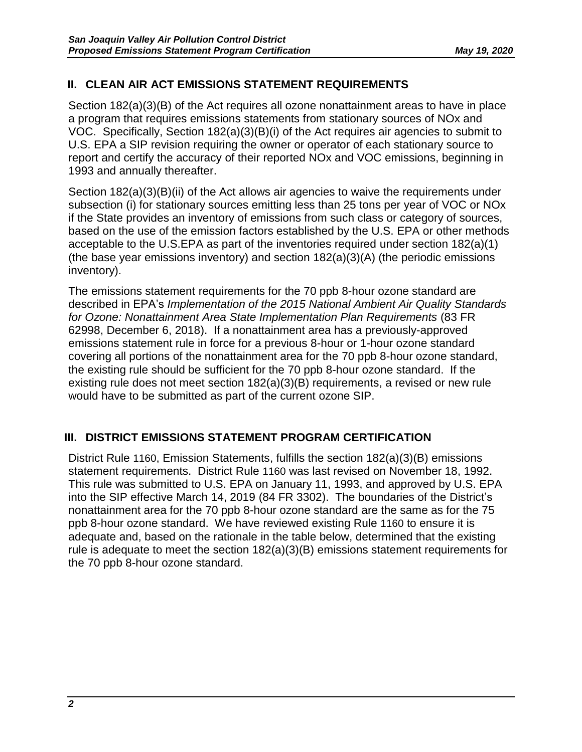# **II. CLEAN AIR ACT EMISSIONS STATEMENT REQUIREMENTS**

Section 182(a)(3)(B) of the Act requires all ozone nonattainment areas to have in place a program that requires emissions statements from stationary sources of NOx and VOC. Specifically, Section 182(a)(3)(B)(i) of the Act requires air agencies to submit to U.S. EPA a SIP revision requiring the owner or operator of each stationary source to report and certify the accuracy of their reported NOx and VOC emissions, beginning in 1993 and annually thereafter.

Section 182(a)(3)(B)(ii) of the Act allows air agencies to waive the requirements under subsection (i) for stationary sources emitting less than 25 tons per year of VOC or NOx if the State provides an inventory of emissions from such class or category of sources, based on the use of the emission factors established by the U.S. EPA or other methods acceptable to the U.S.EPA as part of the inventories required under section 182(a)(1) (the base year emissions inventory) and section 182(a)(3)(A) (the periodic emissions inventory).

The emissions statement requirements for the 70 ppb 8-hour ozone standard are described in EPA's *Implementation of the 2015 National Ambient Air Quality Standards for Ozone: Nonattainment Area State Implementation Plan Requirements* (83 FR 62998, December 6, 2018). If a nonattainment area has a previously-approved emissions statement rule in force for a previous 8-hour or 1-hour ozone standard covering all portions of the nonattainment area for the 70 ppb 8-hour ozone standard, the existing rule should be sufficient for the 70 ppb 8-hour ozone standard. If the existing rule does not meet section 182(a)(3)(B) requirements, a revised or new rule would have to be submitted as part of the current ozone SIP.

## **III. DISTRICT EMISSIONS STATEMENT PROGRAM CERTIFICATION**

District Rule 1160, Emission Statements, fulfills the section 182(a)(3)(B) emissions statement requirements. District Rule 1160 was last revised on November 18, 1992. This rule was submitted to U.S. EPA on January 11, 1993, and approved by U.S. EPA into the SIP effective March 14, 2019 (84 FR 3302). The boundaries of the District's nonattainment area for the 70 ppb 8-hour ozone standard are the same as for the 75 ppb 8-hour ozone standard. We have reviewed existing Rule 1160 to ensure it is adequate and, based on the rationale in the table below, determined that the existing rule is adequate to meet the section 182(a)(3)(B) emissions statement requirements for the 70 ppb 8-hour ozone standard.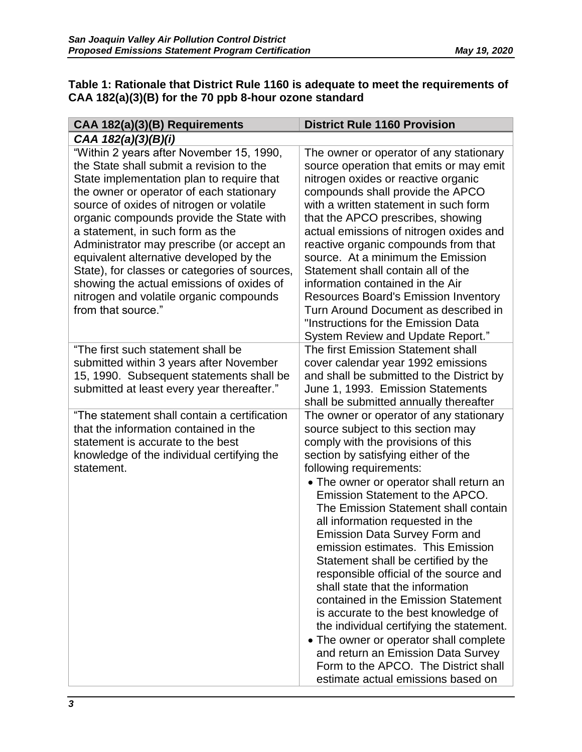#### **Table 1: Rationale that District Rule 1160 is adequate to meet the requirements of CAA 182(a)(3)(B) for the 70 ppb 8-hour ozone standard**

| CAA 182(a)(3)(B) Requirements                                                                                                                                                                                                                                                                                                                                                                                                                                                                                                                                    | <b>District Rule 1160 Provision</b>                                                                                                                                                                                                                                                                                                                                                                                                                                                                                                                                                                                                                                                                                                                                                                                                                                                  |
|------------------------------------------------------------------------------------------------------------------------------------------------------------------------------------------------------------------------------------------------------------------------------------------------------------------------------------------------------------------------------------------------------------------------------------------------------------------------------------------------------------------------------------------------------------------|--------------------------------------------------------------------------------------------------------------------------------------------------------------------------------------------------------------------------------------------------------------------------------------------------------------------------------------------------------------------------------------------------------------------------------------------------------------------------------------------------------------------------------------------------------------------------------------------------------------------------------------------------------------------------------------------------------------------------------------------------------------------------------------------------------------------------------------------------------------------------------------|
| CAA 182(a)(3)(B)(i)                                                                                                                                                                                                                                                                                                                                                                                                                                                                                                                                              |                                                                                                                                                                                                                                                                                                                                                                                                                                                                                                                                                                                                                                                                                                                                                                                                                                                                                      |
| "Within 2 years after November 15, 1990,<br>the State shall submit a revision to the<br>State implementation plan to require that<br>the owner or operator of each stationary<br>source of oxides of nitrogen or volatile<br>organic compounds provide the State with<br>a statement, in such form as the<br>Administrator may prescribe (or accept an<br>equivalent alternative developed by the<br>State), for classes or categories of sources,<br>showing the actual emissions of oxides of<br>nitrogen and volatile organic compounds<br>from that source." | The owner or operator of any stationary<br>source operation that emits or may emit<br>nitrogen oxides or reactive organic<br>compounds shall provide the APCO<br>with a written statement in such form<br>that the APCO prescribes, showing<br>actual emissions of nitrogen oxides and<br>reactive organic compounds from that<br>source. At a minimum the Emission<br>Statement shall contain all of the<br>information contained in the Air<br><b>Resources Board's Emission Inventory</b><br>Turn Around Document as described in<br>"Instructions for the Emission Data<br>System Review and Update Report."                                                                                                                                                                                                                                                                     |
| "The first such statement shall be<br>submitted within 3 years after November<br>15, 1990. Subsequent statements shall be<br>submitted at least every year thereafter."                                                                                                                                                                                                                                                                                                                                                                                          | The first Emission Statement shall<br>cover calendar year 1992 emissions<br>and shall be submitted to the District by<br>June 1, 1993. Emission Statements                                                                                                                                                                                                                                                                                                                                                                                                                                                                                                                                                                                                                                                                                                                           |
| "The statement shall contain a certification<br>that the information contained in the<br>statement is accurate to the best<br>knowledge of the individual certifying the<br>statement.                                                                                                                                                                                                                                                                                                                                                                           | shall be submitted annually thereafter<br>The owner or operator of any stationary<br>source subject to this section may<br>comply with the provisions of this<br>section by satisfying either of the<br>following requirements:<br>• The owner or operator shall return an<br>Emission Statement to the APCO.<br>The Emission Statement shall contain<br>all information requested in the<br><b>Emission Data Survey Form and</b><br>emission estimates. This Emission<br>Statement shall be certified by the<br>responsible official of the source and<br>shall state that the information<br>contained in the Emission Statement<br>is accurate to the best knowledge of<br>the individual certifying the statement.<br>• The owner or operator shall complete<br>and return an Emission Data Survey<br>Form to the APCO. The District shall<br>estimate actual emissions based on |